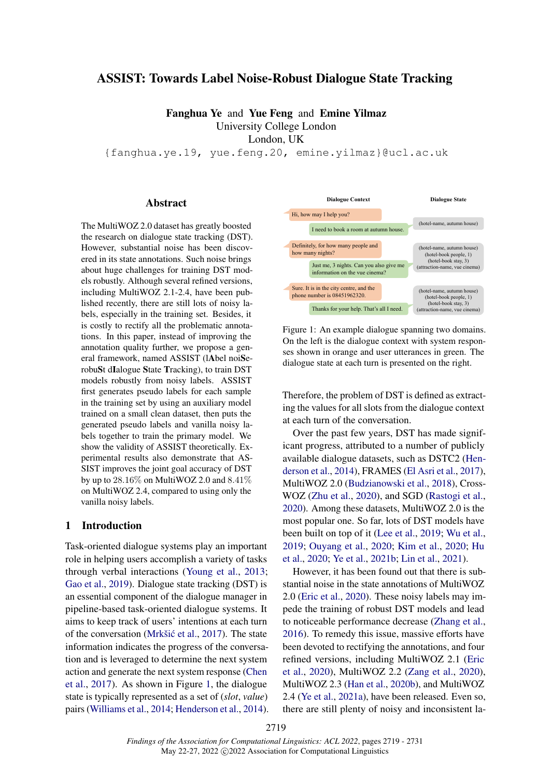# ASSIST: Towards Label Noise-Robust Dialogue State Tracking

Fanghua Ye and Yue Feng and Emine Yilmaz University College London London, UK

{fanghua.ye.19, yue.feng.20, emine.yilmaz}@ucl.ac.uk

### Abstract

The MultiWOZ 2.0 dataset has greatly boosted the research on dialogue state tracking (DST). However, substantial noise has been discovered in its state annotations. Such noise brings about huge challenges for training DST models robustly. Although several refined versions, including MultiWOZ 2.1-2.4, have been published recently, there are still lots of noisy labels, especially in the training set. Besides, it is costly to rectify all the problematic annotations. In this paper, instead of improving the annotation quality further, we propose a general framework, named ASSIST (lAbel noiSerobuSt dIalogue State Tracking), to train DST models robustly from noisy labels. ASSIST first generates pseudo labels for each sample in the training set by using an auxiliary model trained on a small clean dataset, then puts the generated pseudo labels and vanilla noisy labels together to train the primary model. We show the validity of ASSIST theoretically. Experimental results also demonstrate that AS-SIST improves the joint goal accuracy of DST by up to 28.16% on MultiWOZ 2.0 and 8.41% on MultiWOZ 2.4, compared to using only the vanilla noisy labels.

### 1 Introduction

Task-oriented dialogue systems play an important role in helping users accomplish a variety of tasks through verbal interactions [\(Young et al.,](#page-10-0) [2013;](#page-10-0) [Gao et al.,](#page-9-0) [2019\)](#page-9-0). Dialogue state tracking (DST) is an essential component of the dialogue manager in pipeline-based task-oriented dialogue systems. It aims to keep track of users' intentions at each turn of the conversation (Mrkšić et al., [2017\)](#page-10-1). The state information indicates the progress of the conversation and is leveraged to determine the next system action and generate the next system response [\(Chen](#page-9-1) [et al.,](#page-9-1) [2017\)](#page-9-1). As shown in Figure [1,](#page-0-0) the dialogue state is typically represented as a set of (*slot*, *value*) pairs [\(Williams et al.,](#page-10-2) [2014;](#page-10-2) [Henderson et al.,](#page-9-2) [2014\)](#page-9-2).

<span id="page-0-0"></span>

Figure 1: An example dialogue spanning two domains. On the left is the dialogue context with system responses shown in orange and user utterances in green. The dialogue state at each turn is presented on the right.

Therefore, the problem of DST is defined as extracting the values for all slots from the dialogue context at each turn of the conversation.

Over the past few years, DST has made significant progress, attributed to a number of publicly available dialogue datasets, such as DSTC2 [\(Hen](#page-9-2)[derson et al.,](#page-9-2) [2014\)](#page-9-2), FRAMES [\(El Asri et al.,](#page-9-3) [2017\)](#page-9-3), MultiWOZ 2.0 [\(Budzianowski et al.,](#page-9-4) [2018\)](#page-9-4), Cross-WOZ [\(Zhu et al.,](#page-11-0) [2020\)](#page-11-0), and SGD [\(Rastogi et al.,](#page-10-3) [2020\)](#page-10-3). Among these datasets, MultiWOZ 2.0 is the most popular one. So far, lots of DST models have been built on top of it [\(Lee et al.,](#page-10-4) [2019;](#page-10-4) [Wu et al.,](#page-10-5) [2019;](#page-10-5) [Ouyang et al.,](#page-10-6) [2020;](#page-10-6) [Kim et al.,](#page-10-7) [2020;](#page-10-7) [Hu](#page-9-5) [et al.,](#page-9-5) [2020;](#page-9-5) [Ye et al.,](#page-10-8) [2021b;](#page-10-8) [Lin et al.,](#page-10-9) [2021\)](#page-10-9).

However, it has been found out that there is substantial noise in the state annotations of MultiWOZ 2.0 [\(Eric et al.,](#page-9-6) [2020\)](#page-9-6). These noisy labels may impede the training of robust DST models and lead to noticeable performance decrease [\(Zhang et al.,](#page-11-1) [2016\)](#page-11-1). To remedy this issue, massive efforts have been devoted to rectifying the annotations, and four refined versions, including MultiWOZ 2.1 [\(Eric](#page-9-6) [et al.,](#page-9-6) [2020\)](#page-9-6), MultiWOZ 2.2 [\(Zang et al.,](#page-11-2) [2020\)](#page-11-2), MultiWOZ 2.3 [\(Han et al.,](#page-9-7) [2020b\)](#page-9-7), and MultiWOZ 2.4 [\(Ye et al.,](#page-10-10) [2021a\)](#page-10-10), have been released. Even so, there are still plenty of noisy and inconsistent la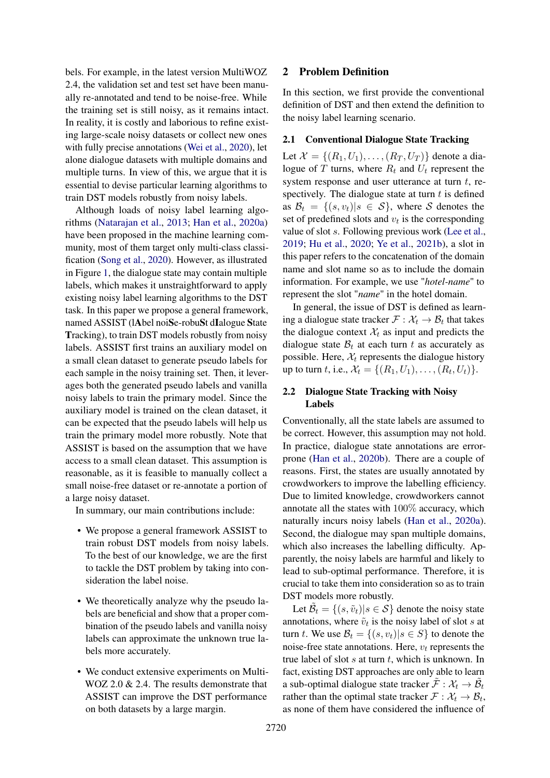bels. For example, in the latest version MultiWOZ 2.4, the validation set and test set have been manually re-annotated and tend to be noise-free. While the training set is still noisy, as it remains intact. In reality, it is costly and laborious to refine existing large-scale noisy datasets or collect new ones with fully precise annotations [\(Wei et al.,](#page-10-11) [2020\)](#page-10-11), let alone dialogue datasets with multiple domains and multiple turns. In view of this, we argue that it is essential to devise particular learning algorithms to train DST models robustly from noisy labels.

Although loads of noisy label learning algorithms [\(Natarajan et al.,](#page-10-12) [2013;](#page-10-12) [Han et al.,](#page-9-8) [2020a\)](#page-9-8) have been proposed in the machine learning community, most of them target only multi-class classification [\(Song et al.,](#page-10-13) [2020\)](#page-10-13). However, as illustrated in Figure [1,](#page-0-0) the dialogue state may contain multiple labels, which makes it unstraightforward to apply existing noisy label learning algorithms to the DST task. In this paper we propose a general framework, named ASSIST (lAbel noiSe-robuSt dIalogue State Tracking), to train DST models robustly from noisy labels. ASSIST first trains an auxiliary model on a small clean dataset to generate pseudo labels for each sample in the noisy training set. Then, it leverages both the generated pseudo labels and vanilla noisy labels to train the primary model. Since the auxiliary model is trained on the clean dataset, it can be expected that the pseudo labels will help us train the primary model more robustly. Note that ASSIST is based on the assumption that we have access to a small clean dataset. This assumption is reasonable, as it is feasible to manually collect a small noise-free dataset or re-annotate a portion of a large noisy dataset.

In summary, our main contributions include:

- We propose a general framework ASSIST to train robust DST models from noisy labels. To the best of our knowledge, we are the first to tackle the DST problem by taking into consideration the label noise.
- We theoretically analyze why the pseudo labels are beneficial and show that a proper combination of the pseudo labels and vanilla noisy labels can approximate the unknown true labels more accurately.
- We conduct extensive experiments on Multi-WOZ 2.0 & 2.4. The results demonstrate that ASSIST can improve the DST performance on both datasets by a large margin.

# 2 Problem Definition

In this section, we first provide the conventional definition of DST and then extend the definition to the noisy label learning scenario.

# 2.1 Conventional Dialogue State Tracking

Let  $\mathcal{X} = \{(R_1, U_1), \dots, (R_T, U_T)\}\)$  denote a dialogue of T turns, where  $R_t$  and  $U_t$  represent the system response and user utterance at turn  $t$ , respectively. The dialogue state at turn  $t$  is defined as  $\mathcal{B}_t = \{(s, v_t)|s \in \mathcal{S}\}\$ , where S denotes the set of predefined slots and  $v_t$  is the corresponding value of slot s. Following previous work [\(Lee et al.,](#page-10-4) [2019;](#page-10-4) [Hu et al.,](#page-9-5) [2020;](#page-9-5) [Ye et al.,](#page-10-8) [2021b\)](#page-10-8), a slot in this paper refers to the concatenation of the domain name and slot name so as to include the domain information. For example, we use "*hotel-name*" to represent the slot "*name*" in the hotel domain.

In general, the issue of DST is defined as learning a dialogue state tracker  $\mathcal{F}: \mathcal{X}_t \to \mathcal{B}_t$  that takes the dialogue context  $\mathcal{X}_t$  as input and predicts the dialogue state  $\mathcal{B}_t$  at each turn t as accurately as possible. Here,  $\mathcal{X}_t$  represents the dialogue history up to turn t, i.e.,  $\mathcal{X}_t = \{(R_1, U_1), \dots, (R_t, U_t)\}.$ 

# 2.2 Dialogue State Tracking with Noisy Labels

Conventionally, all the state labels are assumed to be correct. However, this assumption may not hold. In practice, dialogue state annotations are errorprone [\(Han et al.,](#page-9-7) [2020b\)](#page-9-7). There are a couple of reasons. First, the states are usually annotated by crowdworkers to improve the labelling efficiency. Due to limited knowledge, crowdworkers cannot annotate all the states with 100% accuracy, which naturally incurs noisy labels [\(Han et al.,](#page-9-8) [2020a\)](#page-9-8). Second, the dialogue may span multiple domains, which also increases the labelling difficulty. Apparently, the noisy labels are harmful and likely to lead to sub-optimal performance. Therefore, it is crucial to take them into consideration so as to train DST models more robustly.

Let  $\mathcal{B}_t = \{(s, \tilde{v}_t) | s \in \mathcal{S}\}\$ denote the noisy state annotations, where  $\tilde{v}_t$  is the noisy label of slot s at turn t. We use  $\mathcal{B}_t = \{(s, v_t)|s \in S\}$  to denote the noise-free state annotations. Here,  $v_t$  represents the true label of slot  $s$  at turn  $t$ , which is unknown. In fact, existing DST approaches are only able to learn a sub-optimal dialogue state tracker  $\tilde{\mathcal{F}} : \mathcal{X}_t \to \tilde{\mathcal{B}}_t$ rather than the optimal state tracker  $\mathcal{F}: \mathcal{X}_t \to \mathcal{B}_t$ , as none of them have considered the influence of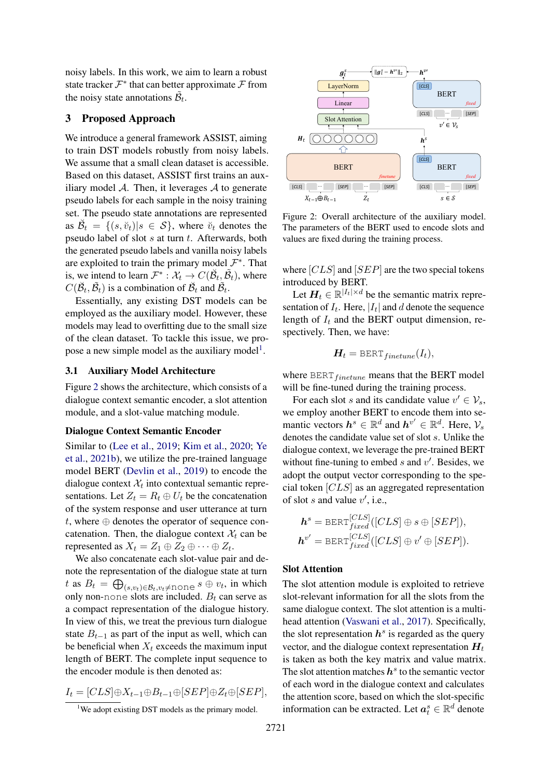noisy labels. In this work, we aim to learn a robust state tracker  $\mathcal{F}^*$  that can better approximate  $\mathcal F$  from the noisy state annotations  $\tilde{\mathcal{B}}_t$ .

# 3 Proposed Approach

We introduce a general framework ASSIST, aiming to train DST models robustly from noisy labels. We assume that a small clean dataset is accessible. Based on this dataset, ASSIST first trains an auxiliary model  $\mathcal{A}$ . Then, it leverages  $\mathcal{A}$  to generate pseudo labels for each sample in the noisy training set. The pseudo state annotations are represented as  $\breve{\mathcal{B}}_t = \{(s, \breve{v}_t) | s \in \mathcal{S}\}$ , where  $\breve{v}_t$  denotes the pseudo label of slot  $s$  at turn  $t$ . Afterwards, both the generated pseudo labels and vanilla noisy labels are exploited to train the primary model  $\mathcal{F}^*$ . That is, we intend to learn  $\mathcal{F}^* : \mathcal{X}_t \to C(\breve{\mathcal{B}}_t, \tilde{\mathcal{B}}_t)$ , where  $C(\breve{\mathcal{B}}_t, \tilde{\mathcal{B}}_t)$  is a combination of  $\breve{\mathcal{B}}_t$  and  $\tilde{\mathcal{B}}_t$ .

Essentially, any existing DST models can be employed as the auxiliary model. However, these models may lead to overfitting due to the small size of the clean dataset. To tackle this issue, we pro-pose a new simple model as the auxiliary model<sup>[1](#page-2-0)</sup>.

### 3.1 Auxiliary Model Architecture

Figure [2](#page-2-1) shows the architecture, which consists of a dialogue context semantic encoder, a slot attention module, and a slot-value matching module.

### Dialogue Context Semantic Encoder

Similar to [\(Lee et al.,](#page-10-4) [2019;](#page-10-4) [Kim et al.,](#page-10-7) [2020;](#page-10-7) [Ye](#page-10-8) [et al.,](#page-10-8) [2021b\)](#page-10-8), we utilize the pre-trained language model BERT [\(Devlin et al.,](#page-9-9) [2019\)](#page-9-9) to encode the dialogue context  $\mathcal{X}_t$  into contextual semantic representations. Let  $Z_t = R_t \oplus U_t$  be the concatenation of the system response and user utterance at turn t, where  $\oplus$  denotes the operator of sequence concatenation. Then, the dialogue context  $\mathcal{X}_t$  can be represented as  $X_t = Z_1 \oplus Z_2 \oplus \cdots \oplus Z_t$ .

We also concatenate each slot-value pair and denote the representation of the dialogue state at turn t as  $B_t = \bigoplus_{(s,v_t)\in \mathcal{B}_t, v_t \neq \text{none}} s \oplus v_t,$  in which only non-none slots are included.  $B_t$  can serve as a compact representation of the dialogue history. In view of this, we treat the previous turn dialogue state  $B_{t-1}$  as part of the input as well, which can be beneficial when  $X_t$  exceeds the maximum input length of BERT. The complete input sequence to the encoder module is then denoted as:

$$
I_t = [CLS] \oplus X_{t-1} \oplus B_{t-1} \oplus [SEP] \oplus Z_t \oplus [SEP],
$$

<span id="page-2-1"></span>

Figure 2: Overall architecture of the auxiliary model. The parameters of the BERT used to encode slots and values are fixed during the training process.

where  $[CLS]$  and  $[SEP]$  are the two special tokens introduced by BERT.

Let  $H_t \in \mathbb{R}^{|I_t| \times d}$  be the semantic matrix representation of  $I_t$ . Here,  $|I_t|$  and d denote the sequence length of  $I_t$  and the BERT output dimension, respectively. Then, we have:

$$
H_t = \text{BERT}_{finetune}(I_t),
$$

where  $BERT_{finetune}$  means that the BERT model will be fine-tuned during the training process.

For each slot s and its candidate value  $v' \in V_s$ , we employ another BERT to encode them into semantic vectors  $h^s \in \mathbb{R}^d$  and  $h^{v'} \in \mathbb{R}^d$ . Here,  $\mathcal{V}_s$ denotes the candidate value set of slot s. Unlike the dialogue context, we leverage the pre-trained BERT without fine-tuning to embed  $s$  and  $v'$ . Besides, we adopt the output vector corresponding to the special token [CLS] as an aggregated representation of slot  $s$  and value  $v'$ , i.e.,

$$
\mathbf{h}^{s} = \text{BERT}_{fixed}^{[CLS]}([CLS] \oplus s \oplus [SEP]),
$$
  

$$
\mathbf{h}^{v'} = \text{BERT}_{fixed}^{[CLS]}([CLS] \oplus v' \oplus [SEP]).
$$

### Slot Attention

The slot attention module is exploited to retrieve slot-relevant information for all the slots from the same dialogue context. The slot attention is a multihead attention [\(Vaswani et al.,](#page-10-14) [2017\)](#page-10-14). Specifically, the slot representation  $h^s$  is regarded as the query vector, and the dialogue context representation  $H_t$ is taken as both the key matrix and value matrix. The slot attention matches  $h^s$  to the semantic vector of each word in the dialogue context and calculates the attention score, based on which the slot-specific information can be extracted. Let  $a_t^s \in \mathbb{R}^d$  denote

<span id="page-2-0"></span><sup>&</sup>lt;sup>1</sup>We adopt existing DST models as the primary model.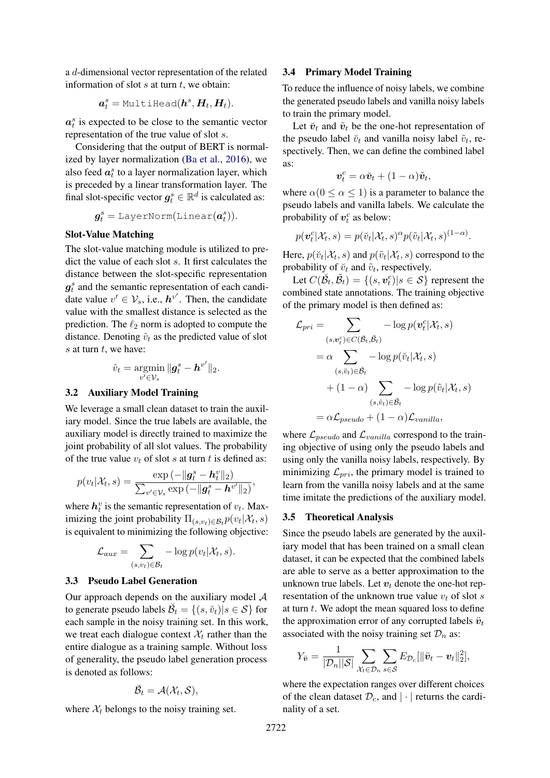a d-dimensional vector representation of the related information of slot  $s$  at turn  $t$ , we obtain:

$$
\boldsymbol{a}_t^s = \texttt{MultiHead}(\boldsymbol{h}^s, \boldsymbol{H}_t, \boldsymbol{H}_t).
$$

 $a_t^s$  is expected to be close to the semantic vector representation of the true value of slot s.

Considering that the output of BERT is normalized by layer normalization [\(Ba et al.,](#page-8-0) [2016\)](#page-8-0), we also feed  $a_t^s$  to a layer normalization layer, which is preceded by a linear transformation layer. The final slot-specific vector  $g_t^s \in \mathbb{R}^d$  is calculated as:

$$
\boldsymbol{g}^s_t = \texttt{LayerNorm}(\texttt{Linear}(\boldsymbol{a}^s_t)).
$$

#### Slot-Value Matching

The slot-value matching module is utilized to predict the value of each slot s. It first calculates the distance between the slot-specific representation  $g_t^s$  and the semantic representation of each candidate value  $v' \in V_s$ , i.e.,  $h^{v'}$ . Then, the candidate value with the smallest distance is selected as the prediction. The  $\ell_2$  norm is adopted to compute the distance. Denoting  $\hat{v}_t$  as the predicted value of slot  $s$  at turn  $t$ , we have:

$$
\hat{v}_t = \operatorname*{argmin}_{v' \in \mathcal{V}_s} \|g_t^s - \boldsymbol{h}^{v'}\|_2.
$$

# 3.2 Auxiliary Model Training

We leverage a small clean dataset to train the auxiliary model. Since the true labels are available, the auxiliary model is directly trained to maximize the joint probability of all slot values. The probability of the true value  $v_t$  of slot s at turn t is defined as:

$$
p(v_t|\mathcal{X}_t, s) = \frac{\exp(-\|\mathbf{g}_t^s - \mathbf{h}_t^v\|_2)}{\sum_{v' \in \mathcal{V}_s} \exp(-\|\mathbf{g}_t^s - \mathbf{h}^{v'}\|_2)},
$$

where  $h_t^v$  is the semantic representation of  $v_t$ . Maximizing the joint probability  $\Pi_{(s,v_t)\in \mathcal{B}_t} p(v_t|\mathcal{X}_t, s)$ is equivalent to minimizing the following objective:

$$
\mathcal{L}_{aux} = \sum_{(s,v_t)\in\mathcal{B}_t} -\log p(v_t|\mathcal{X}_t,s).
$$

# 3.3 Pseudo Label Generation

Our approach depends on the auxiliary model  $A$ to generate pseudo labels  $\breve{\mathcal{B}}_t = \{(s, \breve{v}_t) | s \in \mathcal{S} \}$  for each sample in the noisy training set. In this work, we treat each dialogue context  $\mathcal{X}_t$  rather than the entire dialogue as a training sample. Without loss of generality, the pseudo label generation process is denoted as follows:

$$
\breve{\mathcal{B}}_t = \mathcal{A}(\mathcal{X}_t, \mathcal{S}),
$$

where  $\mathcal{X}_t$  belongs to the noisy training set.

#### 3.4 Primary Model Training

To reduce the influence of noisy labels, we combine the generated pseudo labels and vanilla noisy labels to train the primary model.

Let  $\check{\boldsymbol{v}}_t$  and  $\tilde{\boldsymbol{v}}_t$  be the one-hot representation of the pseudo label  $\check{v}_t$  and vanilla noisy label  $\tilde{v}_t$ , respectively. Then, we can define the combined label as:

$$
\boldsymbol{v}_t^c = \alpha \boldsymbol{\breve{v}}_t + (1 - \alpha) \boldsymbol{\tilde{v}}_t,
$$

where  $\alpha(0 \le \alpha \le 1)$  is a parameter to balance the pseudo labels and vanilla labels. We calculate the probability of  $v_t^c$  as below:

$$
p(\boldsymbol{v}_t^c|\mathcal{X}_t,s)=p(\breve{v}_t|\mathcal{X}_t,s)^\alpha p(\tilde{v}_t|\mathcal{X}_t,s)^{(1-\alpha)}.
$$

Here,  $p(\breve{v}_t|\mathcal{X}_t, s)$  and  $p(\tilde{v}_t|\mathcal{X}_t, s)$  correspond to the probability of  $\breve{v}_t$  and  $\tilde{v}_t$ , respectively.

Let  $C(\breve{\mathcal{B}}_t, \tilde{\mathcal{B}}_t) = \{(s, \boldsymbol{v}_t^c) | s \in \mathcal{S}\}$  represent the combined state annotations. The training objective of the primary model is then defined as:

$$
\mathcal{L}_{pri} = \sum_{(s,v_t^c) \in C(\breve{\mathcal{B}}_t, \breve{\mathcal{B}}_t)} -\log p(\mathbf{v}_t^c | \mathcal{X}_t, s)
$$
  
\n
$$
= \alpha \sum_{(s,\breve{v}_t) \in \breve{\mathcal{B}}_t} -\log p(\breve{v}_t | \mathcal{X}_t, s)
$$
  
\n
$$
+ (1 - \alpha) \sum_{(s,\tilde{v}_t) \in \breve{\mathcal{B}}_t} -\log p(\tilde{v}_t | \mathcal{X}_t, s)
$$
  
\n
$$
= \alpha \mathcal{L}_{pseudo} + (1 - \alpha) \mathcal{L}_{vanilla},
$$

where  $\mathcal{L}_{pseudo}$  and  $\mathcal{L}_{vanilla}$  correspond to the training objective of using only the pseudo labels and using only the vanilla noisy labels, respectively. By minimizing  $\mathcal{L}_{pri}$ , the primary model is trained to learn from the vanilla noisy labels and at the same time imitate the predictions of the auxiliary model.

#### 3.5 Theoretical Analysis

Since the pseudo labels are generated by the auxiliary model that has been trained on a small clean dataset, it can be expected that the combined labels are able to serve as a better approximation to the unknown true labels. Let  $v_t$  denote the one-hot representation of the unknown true value  $v_t$  of slot s at turn  $t$ . We adopt the mean squared loss to define the approximation error of any corrupted labels  $\ddot{v}_t$ associated with the noisy training set  $\mathcal{D}_n$  as:

$$
Y_{\ddot{\boldsymbol{v}}} = \frac{1}{|\mathcal{D}_n||\mathcal{S}|} \sum_{\mathcal{X}_t \in \mathcal{D}_n} \sum_{s \in \mathcal{S}} E_{\mathcal{D}_c}[\|\ddot{\boldsymbol{v}}_t - \boldsymbol{v}_t\|_2^2],
$$

where the expectation ranges over different choices of the clean dataset  $\mathcal{D}_c$ , and  $|\cdot|$  returns the cardinality of a set.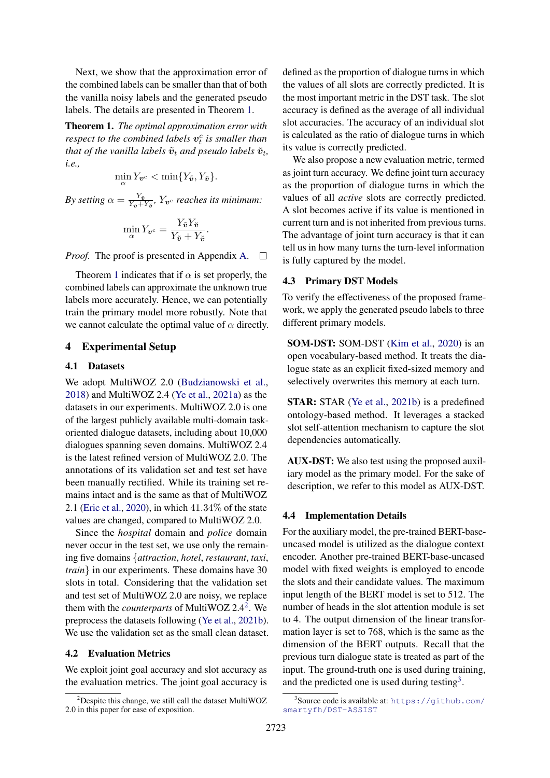Next, we show that the approximation error of the combined labels can be smaller than that of both the vanilla noisy labels and the generated pseudo labels. The details are presented in Theorem [1.](#page-4-0)

<span id="page-4-0"></span>Theorem 1. *The optimal approximation error with* respect to the combined labels  $v_t^c$  is smaller than *that of the vanilla labels*  $\tilde{\bm{v}}_t$  *and pseudo labels*  $\breve{\bm{v}}_t$ *, i.e.,*

$$
\min_{\alpha} Y_{\boldsymbol{v}^c} < \min\{Y_{\tilde{\boldsymbol{v}}}, Y_{\tilde{\boldsymbol{v}}}\}.
$$

*By setting*  $\alpha = \frac{Y_{\tilde{\boldsymbol{v}}}}{Y_{\tilde{\boldsymbol{v}}}+1}$  $\frac{Y_{\tilde{\bm{v}}}}{Y_{\tilde{\bm{v}}}+Y_{\tilde{\bm{v}}}}, Y_{\bm{v}^c}$  reaches its minimum:

$$
\min_{\alpha} Y_{\boldsymbol{v}^c} = \frac{Y_{\tilde{\boldsymbol{v}}} Y_{\tilde{\boldsymbol{v}}}}{Y_{\tilde{\boldsymbol{v}}} + Y_{\tilde{\boldsymbol{v}}}}.
$$

*Proof.* The proof is presented in Appendix [A.](#page-11-3)  $\Box$ 

Theorem [1](#page-4-0) indicates that if  $\alpha$  is set properly, the combined labels can approximate the unknown true labels more accurately. Hence, we can potentially train the primary model more robustly. Note that we cannot calculate the optimal value of  $\alpha$  directly.

# 4 Experimental Setup

# 4.1 Datasets

We adopt MultiWOZ 2.0 [\(Budzianowski et al.,](#page-9-4) [2018\)](#page-9-4) and MultiWOZ 2.4 [\(Ye et al.,](#page-10-10) [2021a\)](#page-10-10) as the datasets in our experiments. MultiWOZ 2.0 is one of the largest publicly available multi-domain taskoriented dialogue datasets, including about 10,000 dialogues spanning seven domains. MultiWOZ 2.4 is the latest refined version of MultiWOZ 2.0. The annotations of its validation set and test set have been manually rectified. While its training set remains intact and is the same as that of MultiWOZ 2.1 [\(Eric et al.,](#page-9-6) [2020\)](#page-9-6), in which 41.34% of the state values are changed, compared to MultiWOZ 2.0.

Since the *hospital* domain and *police* domain never occur in the test set, we use only the remaining five domains {*attraction*, *hotel*, *restaurant*, *taxi*, *train*} in our experiments. These domains have 30 slots in total. Considering that the validation set and test set of MultiWOZ 2.0 are noisy, we replace them with the *counterparts* of MultiWOZ 2.4[2](#page-4-1) . We preprocess the datasets following [\(Ye et al.,](#page-10-8) [2021b\)](#page-10-8). We use the validation set as the small clean dataset.

# 4.2 Evaluation Metrics

We exploit joint goal accuracy and slot accuracy as the evaluation metrics. The joint goal accuracy is defined as the proportion of dialogue turns in which the values of all slots are correctly predicted. It is the most important metric in the DST task. The slot accuracy is defined as the average of all individual slot accuracies. The accuracy of an individual slot is calculated as the ratio of dialogue turns in which its value is correctly predicted.

We also propose a new evaluation metric, termed as joint turn accuracy. We define joint turn accuracy as the proportion of dialogue turns in which the values of all *active* slots are correctly predicted. A slot becomes active if its value is mentioned in current turn and is not inherited from previous turns. The advantage of joint turn accuracy is that it can tell us in how many turns the turn-level information is fully captured by the model.

# 4.3 Primary DST Models

To verify the effectiveness of the proposed framework, we apply the generated pseudo labels to three different primary models.

SOM-DST: SOM-DST [\(Kim et al.,](#page-10-7) [2020\)](#page-10-7) is an open vocabulary-based method. It treats the dialogue state as an explicit fixed-sized memory and selectively overwrites this memory at each turn.

STAR: STAR [\(Ye et al.,](#page-10-8) [2021b\)](#page-10-8) is a predefined ontology-based method. It leverages a stacked slot self-attention mechanism to capture the slot dependencies automatically.

AUX-DST: We also test using the proposed auxiliary model as the primary model. For the sake of description, we refer to this model as AUX-DST.

#### 4.4 Implementation Details

For the auxiliary model, the pre-trained BERT-baseuncased model is utilized as the dialogue context encoder. Another pre-trained BERT-base-uncased model with fixed weights is employed to encode the slots and their candidate values. The maximum input length of the BERT model is set to 512. The number of heads in the slot attention module is set to 4. The output dimension of the linear transformation layer is set to 768, which is the same as the dimension of the BERT outputs. Recall that the previous turn dialogue state is treated as part of the input. The ground-truth one is used during training, and the predicted one is used during testing<sup>[3](#page-4-2)</sup>.

<span id="page-4-1"></span> $2^2$ Despite this change, we still call the dataset MultiWOZ 2.0 in this paper for ease of exposition.

<span id="page-4-2"></span><sup>3</sup> Source code is available at: [https://github.com/](https://github.com/smartyfh/DST-ASSIST) [smartyfh/DST-ASSIST](https://github.com/smartyfh/DST-ASSIST)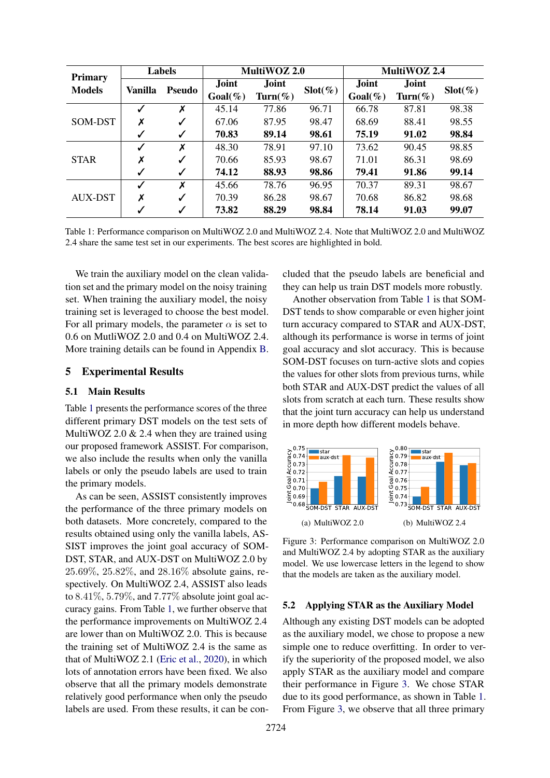<span id="page-5-0"></span>

| Primary<br><b>Models</b> | <b>Labels</b>  |               | MultiWOZ 2.0        |                  |                    | MultiWOZ 2.4         |                     |                    |
|--------------------------|----------------|---------------|---------------------|------------------|--------------------|----------------------|---------------------|--------------------|
|                          | <b>Vanilla</b> | <b>Pseudo</b> | Joint<br>$Goal(\%)$ | Joint<br>Turn(%) | $\text{Slot}(\% )$ | Joint<br>$Goal (\%)$ | Joint<br>$Turn(\%)$ | $\text{Slot}(\% )$ |
| SOM-DST                  | $\checkmark$   | X             | 45.14               | 77.86            | 96.71              | 66.78                | 87.81               | 98.38              |
|                          | Х              | ✓             | 67.06               | 87.95            | 98.47              | 68.69                | 88.41               | 98.55              |
|                          | $\checkmark$   | ✓             | 70.83               | 89.14            | 98.61              | 75.19                | 91.02               | 98.84              |
| <b>STAR</b>              |                | X             | 48.30               | 78.91            | 97.10              | 73.62                | 90.45               | 98.85              |
|                          | Х              | ✓             | 70.66               | 85.93            | 98.67              | 71.01                | 86.31               | 98.69              |
|                          | ✓              | ✓             | 74.12               | 88.93            | 98.86              | 79.41                | 91.86               | 99.14              |
| AUX-DST                  |                | X             | 45.66               | 78.76            | 96.95              | 70.37                | 89.31               | 98.67              |
|                          | Х              | ✓             | 70.39               | 86.28            | 98.67              | 70.68                | 86.82               | 98.68              |
|                          |                | ✓             | 73.82               | 88.29            | 98.84              | 78.14                | 91.03               | 99.07              |

Table 1: Performance comparison on MultiWOZ 2.0 and MultiWOZ 2.4. Note that MultiWOZ 2.0 and MultiWOZ 2.4 share the same test set in our experiments. The best scores are highlighted in bold.

We train the auxiliary model on the clean validation set and the primary model on the noisy training set. When training the auxiliary model, the noisy training set is leveraged to choose the best model. For all primary models, the parameter  $\alpha$  is set to 0.6 on MutliWOZ 2.0 and 0.4 on MultiWOZ 2.4. More training details can be found in Appendix [B.](#page-11-4)

# 5 Experimental Results

# 5.1 Main Results

Table [1](#page-5-0) presents the performance scores of the three different primary DST models on the test sets of MultiWOZ 2.0 & 2.4 when they are trained using our proposed framework ASSIST. For comparison, we also include the results when only the vanilla labels or only the pseudo labels are used to train the primary models.

As can be seen, ASSIST consistently improves the performance of the three primary models on both datasets. More concretely, compared to the results obtained using only the vanilla labels, AS-SIST improves the joint goal accuracy of SOM-DST, STAR, and AUX-DST on MultiWOZ 2.0 by 25.69%, 25.82%, and 28.16% absolute gains, respectively. On MultiWOZ 2.4, ASSIST also leads to  $8.41\%, 5.79\%,$  and  $7.77\%$  absolute joint goal accuracy gains. From Table [1,](#page-5-0) we further observe that the performance improvements on MultiWOZ 2.4 are lower than on MultiWOZ 2.0. This is because the training set of MultiWOZ 2.4 is the same as that of MultiWOZ 2.1 [\(Eric et al.,](#page-9-6) [2020\)](#page-9-6), in which lots of annotation errors have been fixed. We also observe that all the primary models demonstrate relatively good performance when only the pseudo labels are used. From these results, it can be concluded that the pseudo labels are beneficial and they can help us train DST models more robustly.

Another observation from Table [1](#page-5-0) is that SOM-DST tends to show comparable or even higher joint turn accuracy compared to STAR and AUX-DST, although its performance is worse in terms of joint goal accuracy and slot accuracy. This is because SOM-DST focuses on turn-active slots and copies the values for other slots from previous turns, while both STAR and AUX-DST predict the values of all slots from scratch at each turn. These results show that the joint turn accuracy can help us understand in more depth how different models behave.

<span id="page-5-1"></span>

Figure 3: Performance comparison on MultiWOZ 2.0 and MultiWOZ 2.4 by adopting STAR as the auxiliary model. We use lowercase letters in the legend to show that the models are taken as the auxiliary model.

#### 5.2 Applying STAR as the Auxiliary Model

Although any existing DST models can be adopted as the auxiliary model, we chose to propose a new simple one to reduce overfitting. In order to verify the superiority of the proposed model, we also apply STAR as the auxiliary model and compare their performance in Figure [3.](#page-5-1) We chose STAR due to its good performance, as shown in Table [1.](#page-5-0) From Figure [3,](#page-5-1) we observe that all three primary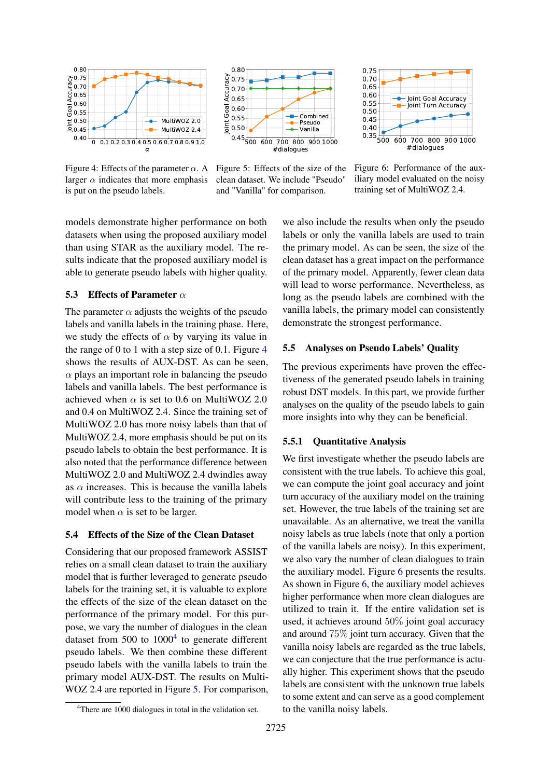<span id="page-6-0"></span>

Figure 4: Effects of the parameter  $\alpha$ . A larger  $\alpha$  indicates that more emphasis is put on the pseudo labels.



Figure 5: Effects of the size of the clean dataset. We include "Pseudo" and "Vanilla" for comparison.



Figure 6: Performance of the auxiliary model evaluated on the noisy training set of MultiWOZ 2.4.

models demonstrate higher performance on both datasets when using the proposed auxiliary model than using STAR as the auxiliary model. The results indicate that the proposed auxiliary model is able to generate pseudo labels with higher quality.

# 5.3 Effects of Parameter  $\alpha$

The parameter  $\alpha$  adjusts the weights of the pseudo labels and vanilla labels in the training phase. Here, we study the effects of  $\alpha$  by varying its value in the range of 0 to 1 with a step size of 0.1. Figure [4](#page-6-0) shows the results of AUX-DST. As can be seen,  $\alpha$  plays an important role in balancing the pseudo labels and vanilla labels. The best performance is achieved when  $\alpha$  is set to 0.6 on MultiWOZ 2.0 and 0.4 on MultiWOZ 2.4. Since the training set of MultiWOZ 2.0 has more noisy labels than that of MultiWOZ 2.4, more emphasis should be put on its pseudo labels to obtain the best performance. It is also noted that the performance difference between MultiWOZ 2.0 and MultiWOZ 2.4 dwindles away as  $\alpha$  increases. This is because the vanilla labels will contribute less to the training of the primary model when  $\alpha$  is set to be larger.

### 5.4 Effects of the Size of the Clean Dataset

Considering that our proposed framework ASSIST relies on a small clean dataset to train the auxiliary model that is further leveraged to generate pseudo labels for the training set, it is valuable to explore the effects of the size of the clean dataset on the performance of the primary model. For this purpose, we vary the number of dialogues in the clean dataset from  $500$  to  $1000<sup>4</sup>$  $1000<sup>4</sup>$  $1000<sup>4</sup>$  to generate different pseudo labels. We then combine these different pseudo labels with the vanilla labels to train the primary model AUX-DST. The results on Multi-WOZ 2.4 are reported in Figure [5.](#page-6-0) For comparison, we also include the results when only the pseudo labels or only the vanilla labels are used to train the primary model. As can be seen, the size of the clean dataset has a great impact on the performance of the primary model. Apparently, fewer clean data will lead to worse performance. Nevertheless, as long as the pseudo labels are combined with the vanilla labels, the primary model can consistently demonstrate the strongest performance.

# 5.5 Analyses on Pseudo Labels' Quality

The previous experiments have proven the effectiveness of the generated pseudo labels in training robust DST models. In this part, we provide further analyses on the quality of the pseudo labels to gain more insights into why they can be beneficial.

# 5.5.1 Quantitative Analysis

We first investigate whether the pseudo labels are consistent with the true labels. To achieve this goal, we can compute the joint goal accuracy and joint turn accuracy of the auxiliary model on the training set. However, the true labels of the training set are unavailable. As an alternative, we treat the vanilla noisy labels as true labels (note that only a portion of the vanilla labels are noisy). In this experiment, we also vary the number of clean dialogues to train the auxiliary model. Figure [6](#page-6-0) presents the results. As shown in Figure [6,](#page-6-0) the auxiliary model achieves higher performance when more clean dialogues are utilized to train it. If the entire validation set is used, it achieves around 50% joint goal accuracy and around 75% joint turn accuracy. Given that the vanilla noisy labels are regarded as the true labels, we can conjecture that the true performance is actually higher. This experiment shows that the pseudo labels are consistent with the unknown true labels to some extent and can serve as a good complement to the vanilla noisy labels.

<span id="page-6-1"></span><sup>4</sup>There are 1000 dialogues in total in the validation set.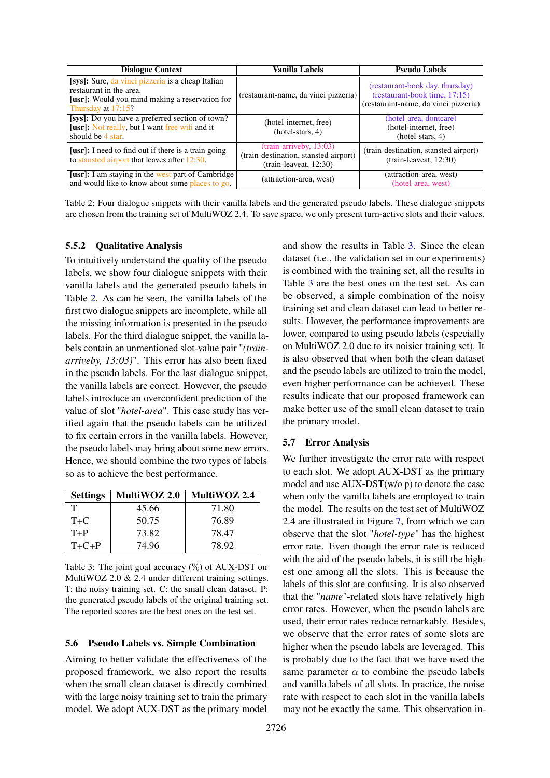<span id="page-7-0"></span>

| <b>Dialogue Context</b>                                                                                                                                     | Vanilla Labels                                                                              | <b>Pseudo Labels</b>                                                                                     |  |
|-------------------------------------------------------------------------------------------------------------------------------------------------------------|---------------------------------------------------------------------------------------------|----------------------------------------------------------------------------------------------------------|--|
| [sys]: Sure, da vinci pizzeria is a cheap Italian<br>restaurant in the area.<br><b>[usr]:</b> Would you mind making a reservation for<br>Thursday at 17:15? | (restaurant-name, da vinci pizzeria)                                                        | (restaurant-book day, thursday)<br>(restaurant-book time, 17:15)<br>(restaurant-name, da vinci pizzeria) |  |
| [sys]: Do you have a preferred section of town?<br><b>[usr]:</b> Not really, but I want free wifi and it<br>should be 4 star.                               | (hotel-internet, free)<br>$(hotel{\text -}stars, 4)$                                        | (hotel-area, dontcare)<br>(hotel-internet, free)<br>$(hotel{\text -}stars, 4)$                           |  |
| <b>[usr]:</b> I need to find out if there is a train going<br>to stansted airport that leaves after 12:30.                                                  | (train-arriveby, 13:03)<br>(train-destination, stansted airport)<br>$(train-leaved, 12:30)$ | (train-destination, stansted airport)<br>$(train-leaved, 12:30)$                                         |  |
| [usr]: I am staying in the west part of Cambridge<br>and would like to know about some places to go.                                                        | (attraction-area, west)                                                                     | (attraction-area, west)<br>(hotel-area, west)                                                            |  |

Table 2: Four dialogue snippets with their vanilla labels and the generated pseudo labels. These dialogue snippets are chosen from the training set of MultiWOZ 2.4. To save space, we only present turn-active slots and their values.

#### 5.5.2 Qualitative Analysis

To intuitively understand the quality of the pseudo labels, we show four dialogue snippets with their vanilla labels and the generated pseudo labels in Table [2.](#page-7-0) As can be seen, the vanilla labels of the first two dialogue snippets are incomplete, while all the missing information is presented in the pseudo labels. For the third dialogue snippet, the vanilla labels contain an unmentioned slot-value pair "*(trainarriveby, 13:03)*". This error has also been fixed in the pseudo labels. For the last dialogue snippet, the vanilla labels are correct. However, the pseudo labels introduce an overconfident prediction of the value of slot "*hotel-area*". This case study has verified again that the pseudo labels can be utilized to fix certain errors in the vanilla labels. However, the pseudo labels may bring about some new errors. Hence, we should combine the two types of labels so as to achieve the best performance.

<span id="page-7-1"></span>

| <b>Settings</b> | MultiWOZ 2.0 | MultiWOZ 2.4 |
|-----------------|--------------|--------------|
|                 | 45.66        | 71.80        |
| $T+C$           | 50.75        | 76.89        |
| $T+P$           | 73.82        | 78.47        |
| $T + C + P$     | 74.96        | 78.92        |

Table 3: The joint goal accuracy  $(\%)$  of AUX-DST on MultiWOZ 2.0 & 2.4 under different training settings. T: the noisy training set. C: the small clean dataset. P: the generated pseudo labels of the original training set. The reported scores are the best ones on the test set.

### 5.6 Pseudo Labels vs. Simple Combination

Aiming to better validate the effectiveness of the proposed framework, we also report the results when the small clean dataset is directly combined with the large noisy training set to train the primary model. We adopt AUX-DST as the primary model

and show the results in Table [3.](#page-7-1) Since the clean dataset (i.e., the validation set in our experiments) is combined with the training set, all the results in Table [3](#page-7-1) are the best ones on the test set. As can be observed, a simple combination of the noisy training set and clean dataset can lead to better results. However, the performance improvements are lower, compared to using pseudo labels (especially on MultiWOZ 2.0 due to its noisier training set). It is also observed that when both the clean dataset and the pseudo labels are utilized to train the model, even higher performance can be achieved. These results indicate that our proposed framework can make better use of the small clean dataset to train the primary model.

### 5.7 Error Analysis

We further investigate the error rate with respect to each slot. We adopt AUX-DST as the primary model and use AUX-DST(w/o p) to denote the case when only the vanilla labels are employed to train the model. The results on the test set of MultiWOZ 2.4 are illustrated in Figure [7,](#page-8-1) from which we can observe that the slot "*hotel-type*" has the highest error rate. Even though the error rate is reduced with the aid of the pseudo labels, it is still the highest one among all the slots. This is because the labels of this slot are confusing. It is also observed that the "*name*"-related slots have relatively high error rates. However, when the pseudo labels are used, their error rates reduce remarkably. Besides, we observe that the error rates of some slots are higher when the pseudo labels are leveraged. This is probably due to the fact that we have used the same parameter  $\alpha$  to combine the pseudo labels and vanilla labels of all slots. In practice, the noise rate with respect to each slot in the vanilla labels may not be exactly the same. This observation in-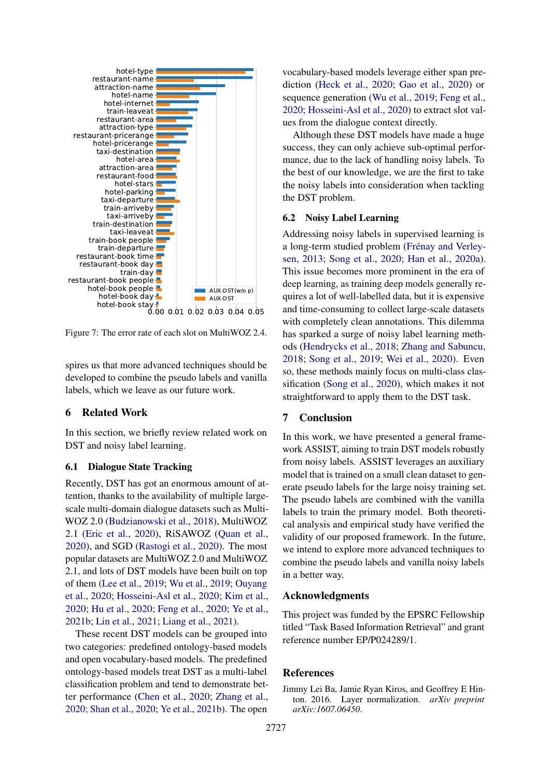<span id="page-8-1"></span>

Figure 7: The error rate of each slot on MultiWOZ 2.4.

spires us that more advanced techniques should be developed to combine the pseudo labels and vanilla labels, which we leave as our future work.

# 6 Related Work

In this section, we briefly review related work on DST and noisy label learning.

#### 6.1 Dialogue State Tracking

Recently, DST has got an enormous amount of attention, thanks to the availability of multiple largescale multi-domain dialogue datasets such as Multi-WOZ 2.0 [\(Budzianowski et al.,](#page-9-4) [2018\)](#page-9-4), MultiWOZ 2.1 [\(Eric et al.,](#page-9-6) [2020\)](#page-9-6), RiSAWOZ [\(Quan et al.,](#page-10-15) [2020\)](#page-10-15), and SGD [\(Rastogi et al.,](#page-10-3) [2020\)](#page-10-3). The most popular datasets are MultiWOZ 2.0 and MultiWOZ 2.1, and lots of DST models have been built on top of them [\(Lee et al.,](#page-10-4) [2019;](#page-10-4) [Wu et al.,](#page-10-5) [2019;](#page-10-5) [Ouyang](#page-10-6) [et al.,](#page-10-6) [2020;](#page-10-6) [Hosseini-Asl et al.,](#page-9-10) [2020;](#page-9-10) [Kim et al.,](#page-10-7) [2020;](#page-10-7) [Hu et al.,](#page-9-5) [2020;](#page-9-5) [Feng et al.,](#page-9-11) [2020;](#page-9-11) [Ye et al.,](#page-10-8) [2021b;](#page-10-8) [Lin et al.,](#page-10-9) [2021;](#page-10-9) [Liang et al.,](#page-10-16) [2021\)](#page-10-16).

These recent DST models can be grouped into two categories: predefined ontology-based models and open vocabulary-based models. The predefined ontology-based models treat DST as a multi-label classification problem and tend to demonstrate better performance [\(Chen et al.,](#page-9-12) [2020;](#page-9-12) [Zhang et al.,](#page-11-5) [2020;](#page-11-5) [Shan et al.,](#page-10-17) [2020;](#page-10-17) [Ye et al.,](#page-10-8) [2021b\)](#page-10-8). The open

vocabulary-based models leverage either span prediction [\(Heck et al.,](#page-9-13) [2020;](#page-9-13) [Gao et al.,](#page-9-14) [2020\)](#page-9-14) or sequence generation [\(Wu et al.,](#page-10-5) [2019;](#page-10-5) [Feng et al.,](#page-9-11) [2020;](#page-9-11) [Hosseini-Asl et al.,](#page-9-10) [2020\)](#page-9-10) to extract slot values from the dialogue context directly.

Although these DST models have made a huge success, they can only achieve sub-optimal performance, due to the lack of handling noisy labels. To the best of our knowledge, we are the first to take the noisy labels into consideration when tackling the DST problem.

### 6.2 Noisy Label Learning

Addressing noisy labels in supervised learning is a long-term studied problem [\(Frénay and Verley](#page-9-15)[sen,](#page-9-15) [2013;](#page-9-15) [Song et al.,](#page-10-13) [2020;](#page-10-13) [Han et al.,](#page-9-8) [2020a\)](#page-9-8). This issue becomes more prominent in the era of deep learning, as training deep models generally requires a lot of well-labelled data, but it is expensive and time-consuming to collect large-scale datasets with completely clean annotations. This dilemma has sparked a surge of noisy label learning methods [\(Hendrycks et al.,](#page-9-16) [2018;](#page-9-16) [Zhang and Sabuncu,](#page-11-6) [2018;](#page-11-6) [Song et al.,](#page-10-18) [2019;](#page-10-18) [Wei et al.,](#page-10-11) [2020\)](#page-10-11). Even so, these methods mainly focus on multi-class classification [\(Song et al.,](#page-10-13) [2020\)](#page-10-13), which makes it not straightforward to apply them to the DST task.

# 7 Conclusion

In this work, we have presented a general framework ASSIST, aiming to train DST models robustly from noisy labels. ASSIST leverages an auxiliary model that is trained on a small clean dataset to generate pseudo labels for the large noisy training set. The pseudo labels are combined with the vanilla labels to train the primary model. Both theoretical analysis and empirical study have verified the validity of our proposed framework. In the future, we intend to explore more advanced techniques to combine the pseudo labels and vanilla noisy labels in a better way.

### Acknowledgments

This project was funded by the EPSRC Fellowship titled "Task Based Information Retrieval" and grant reference number EP/P024289/1.

# References

<span id="page-8-0"></span>Jimmy Lei Ba, Jamie Ryan Kiros, and Geoffrey E Hinton. 2016. Layer normalization. *arXiv preprint arXiv:1607.06450*.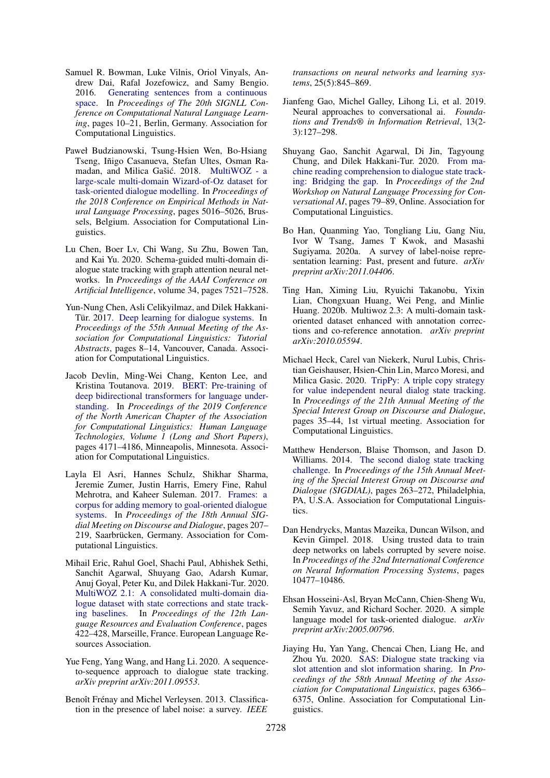- <span id="page-9-17"></span>Samuel R. Bowman, Luke Vilnis, Oriol Vinyals, Andrew Dai, Rafal Jozefowicz, and Samy Bengio. 2016. [Generating sentences from a continuous](https://doi.org/10.18653/v1/K16-1002) [space.](https://doi.org/10.18653/v1/K16-1002) In *Proceedings of The 20th SIGNLL Conference on Computational Natural Language Learning*, pages 10–21, Berlin, Germany. Association for Computational Linguistics.
- <span id="page-9-4"></span>Paweł Budzianowski, Tsung-Hsien Wen, Bo-Hsiang Tseng, Iñigo Casanueva, Stefan Ultes, Osman Ra-madan, and Milica Gašić. 2018. [MultiWOZ - a](https://doi.org/10.18653/v1/D18-1547) [large-scale multi-domain Wizard-of-Oz dataset for](https://doi.org/10.18653/v1/D18-1547) [task-oriented dialogue modelling.](https://doi.org/10.18653/v1/D18-1547) In *Proceedings of the 2018 Conference on Empirical Methods in Natural Language Processing*, pages 5016–5026, Brussels, Belgium. Association for Computational Linguistics.
- <span id="page-9-12"></span>Lu Chen, Boer Lv, Chi Wang, Su Zhu, Bowen Tan, and Kai Yu. 2020. Schema-guided multi-domain dialogue state tracking with graph attention neural networks. In *Proceedings of the AAAI Conference on Artificial Intelligence*, volume 34, pages 7521–7528.
- <span id="page-9-1"></span>Yun-Nung Chen, Asli Celikyilmaz, and Dilek Hakkani-Tür. 2017. [Deep learning for dialogue systems.](https://www.aclweb.org/anthology/P17-5004) In *Proceedings of the 55th Annual Meeting of the Association for Computational Linguistics: Tutorial Abstracts*, pages 8–14, Vancouver, Canada. Association for Computational Linguistics.
- <span id="page-9-9"></span>Jacob Devlin, Ming-Wei Chang, Kenton Lee, and Kristina Toutanova. 2019. [BERT: Pre-training of](https://doi.org/10.18653/v1/N19-1423) [deep bidirectional transformers for language under](https://doi.org/10.18653/v1/N19-1423)[standing.](https://doi.org/10.18653/v1/N19-1423) In *Proceedings of the 2019 Conference of the North American Chapter of the Association for Computational Linguistics: Human Language Technologies, Volume 1 (Long and Short Papers)*, pages 4171–4186, Minneapolis, Minnesota. Association for Computational Linguistics.
- <span id="page-9-3"></span>Layla El Asri, Hannes Schulz, Shikhar Sharma, Jeremie Zumer, Justin Harris, Emery Fine, Rahul Mehrotra, and Kaheer Suleman. 2017. [Frames: a](https://doi.org/10.18653/v1/W17-5526) [corpus for adding memory to goal-oriented dialogue](https://doi.org/10.18653/v1/W17-5526) [systems.](https://doi.org/10.18653/v1/W17-5526) In *Proceedings of the 18th Annual SIGdial Meeting on Discourse and Dialogue*, pages 207– 219, Saarbrücken, Germany. Association for Computational Linguistics.
- <span id="page-9-6"></span>Mihail Eric, Rahul Goel, Shachi Paul, Abhishek Sethi, Sanchit Agarwal, Shuyang Gao, Adarsh Kumar, Anuj Goyal, Peter Ku, and Dilek Hakkani-Tur. 2020. [MultiWOZ 2.1: A consolidated multi-domain dia](https://www.aclweb.org/anthology/2020.lrec-1.53)[logue dataset with state corrections and state track](https://www.aclweb.org/anthology/2020.lrec-1.53)[ing baselines.](https://www.aclweb.org/anthology/2020.lrec-1.53) In *Proceedings of the 12th Language Resources and Evaluation Conference*, pages 422–428, Marseille, France. European Language Resources Association.
- <span id="page-9-11"></span>Yue Feng, Yang Wang, and Hang Li. 2020. A sequenceto-sequence approach to dialogue state tracking. *arXiv preprint arXiv:2011.09553*.
- <span id="page-9-15"></span>Benoît Frénay and Michel Verleysen. 2013. Classification in the presence of label noise: a survey. *IEEE*

*transactions on neural networks and learning systems*, 25(5):845–869.

- <span id="page-9-0"></span>Jianfeng Gao, Michel Galley, Lihong Li, et al. 2019. Neural approaches to conversational ai. *Foundations and Trends® in Information Retrieval*, 13(2- 3):127–298.
- <span id="page-9-14"></span>Shuyang Gao, Sanchit Agarwal, Di Jin, Tagyoung Chung, and Dilek Hakkani-Tur. 2020. [From ma](https://doi.org/10.18653/v1/2020.nlp4convai-1.10)[chine reading comprehension to dialogue state track](https://doi.org/10.18653/v1/2020.nlp4convai-1.10)[ing: Bridging the gap.](https://doi.org/10.18653/v1/2020.nlp4convai-1.10) In *Proceedings of the 2nd Workshop on Natural Language Processing for Conversational AI*, pages 79–89, Online. Association for Computational Linguistics.
- <span id="page-9-8"></span>Bo Han, Quanming Yao, Tongliang Liu, Gang Niu, Ivor W Tsang, James T Kwok, and Masashi Sugiyama. 2020a. A survey of label-noise representation learning: Past, present and future. *arXiv preprint arXiv:2011.04406*.
- <span id="page-9-7"></span>Ting Han, Ximing Liu, Ryuichi Takanobu, Yixin Lian, Chongxuan Huang, Wei Peng, and Minlie Huang. 2020b. Multiwoz 2.3: A multi-domain taskoriented dataset enhanced with annotation corrections and co-reference annotation. *arXiv preprint arXiv:2010.05594*.
- <span id="page-9-13"></span>Michael Heck, Carel van Niekerk, Nurul Lubis, Christian Geishauser, Hsien-Chin Lin, Marco Moresi, and Milica Gasic. 2020. [TripPy: A triple copy strategy](https://www.aclweb.org/anthology/2020.sigdial-1.4) [for value independent neural dialog state tracking.](https://www.aclweb.org/anthology/2020.sigdial-1.4) In *Proceedings of the 21th Annual Meeting of the Special Interest Group on Discourse and Dialogue*, pages 35–44, 1st virtual meeting. Association for Computational Linguistics.
- <span id="page-9-2"></span>Matthew Henderson, Blaise Thomson, and Jason D. Williams. 2014. [The second dialog state tracking](https://doi.org/10.3115/v1/W14-4337) [challenge.](https://doi.org/10.3115/v1/W14-4337) In *Proceedings of the 15th Annual Meeting of the Special Interest Group on Discourse and Dialogue (SIGDIAL)*, pages 263–272, Philadelphia, PA, U.S.A. Association for Computational Linguistics.
- <span id="page-9-16"></span>Dan Hendrycks, Mantas Mazeika, Duncan Wilson, and Kevin Gimpel. 2018. Using trusted data to train deep networks on labels corrupted by severe noise. In *Proceedings of the 32nd International Conference on Neural Information Processing Systems*, pages 10477–10486.
- <span id="page-9-10"></span>Ehsan Hosseini-Asl, Bryan McCann, Chien-Sheng Wu, Semih Yavuz, and Richard Socher. 2020. A simple language model for task-oriented dialogue. *arXiv preprint arXiv:2005.00796*.
- <span id="page-9-5"></span>Jiaying Hu, Yan Yang, Chencai Chen, Liang He, and Zhou Yu. 2020. [SAS: Dialogue state tracking via](https://doi.org/10.18653/v1/2020.acl-main.567) [slot attention and slot information sharing.](https://doi.org/10.18653/v1/2020.acl-main.567) In *Proceedings of the 58th Annual Meeting of the Association for Computational Linguistics*, pages 6366– 6375, Online. Association for Computational Linguistics.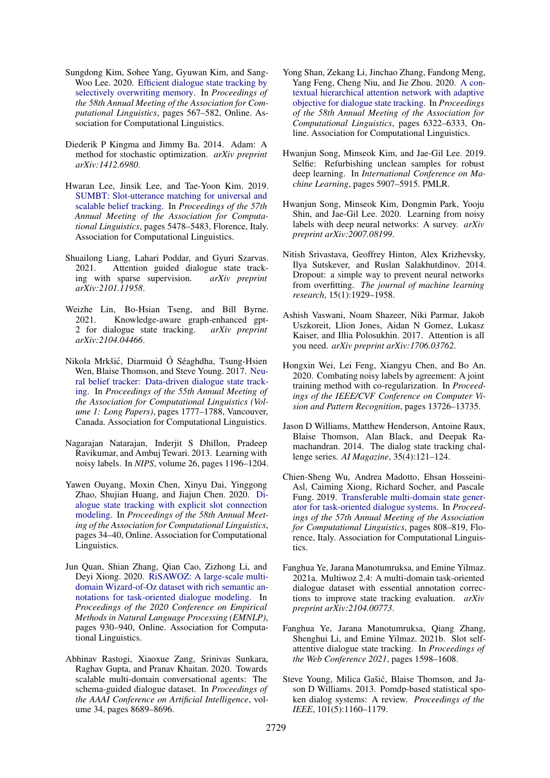- <span id="page-10-7"></span>Sungdong Kim, Sohee Yang, Gyuwan Kim, and Sang-Woo Lee. 2020. [Efficient dialogue state tracking by](https://doi.org/10.18653/v1/2020.acl-main.53) [selectively overwriting memory.](https://doi.org/10.18653/v1/2020.acl-main.53) In *Proceedings of the 58th Annual Meeting of the Association for Computational Linguistics*, pages 567–582, Online. Association for Computational Linguistics.
- <span id="page-10-19"></span>Diederik P Kingma and Jimmy Ba. 2014. Adam: A method for stochastic optimization. *arXiv preprint arXiv:1412.6980*.
- <span id="page-10-4"></span>Hwaran Lee, Jinsik Lee, and Tae-Yoon Kim. 2019. [SUMBT: Slot-utterance matching for universal and](https://doi.org/10.18653/v1/P19-1546) [scalable belief tracking.](https://doi.org/10.18653/v1/P19-1546) In *Proceedings of the 57th Annual Meeting of the Association for Computational Linguistics*, pages 5478–5483, Florence, Italy. Association for Computational Linguistics.
- <span id="page-10-16"></span>Shuailong Liang, Lahari Poddar, and Gyuri Szarvas. 2021. Attention guided dialogue state tracking with sparse supervision. *arXiv preprint arXiv:2101.11958*.
- <span id="page-10-9"></span>Weizhe Lin, Bo-Hsian Tseng, and Bill Byrne. 2021. Knowledge-aware graph-enhanced gpt-<br>2 for dialogue state tracking.  $arXiv$  preprint 2 for dialogue state tracking. *arXiv:2104.04466*.
- <span id="page-10-1"></span>Nikola Mrkšic, Diarmuid Ó Séaghdha, Tsung-Hsien ´ Wen, Blaise Thomson, and Steve Young. 2017. [Neu](https://doi.org/10.18653/v1/P17-1163)[ral belief tracker: Data-driven dialogue state track](https://doi.org/10.18653/v1/P17-1163)[ing.](https://doi.org/10.18653/v1/P17-1163) In *Proceedings of the 55th Annual Meeting of the Association for Computational Linguistics (Volume 1: Long Papers)*, pages 1777–1788, Vancouver, Canada. Association for Computational Linguistics.
- <span id="page-10-12"></span>Nagarajan Natarajan, Inderjit S Dhillon, Pradeep Ravikumar, and Ambuj Tewari. 2013. Learning with noisy labels. In *NIPS*, volume 26, pages 1196–1204.
- <span id="page-10-6"></span>Yawen Ouyang, Moxin Chen, Xinyu Dai, Yinggong Zhao, Shujian Huang, and Jiajun Chen. 2020. [Di](https://doi.org/10.18653/v1/2020.acl-main.5)[alogue state tracking with explicit slot connection](https://doi.org/10.18653/v1/2020.acl-main.5) [modeling.](https://doi.org/10.18653/v1/2020.acl-main.5) In *Proceedings of the 58th Annual Meeting of the Association for Computational Linguistics*, pages 34–40, Online. Association for Computational Linguistics.
- <span id="page-10-15"></span>Jun Quan, Shian Zhang, Qian Cao, Zizhong Li, and Deyi Xiong. 2020. [RiSAWOZ: A large-scale multi](https://doi.org/10.18653/v1/2020.emnlp-main.67)[domain Wizard-of-Oz dataset with rich semantic an](https://doi.org/10.18653/v1/2020.emnlp-main.67)[notations for task-oriented dialogue modeling.](https://doi.org/10.18653/v1/2020.emnlp-main.67) In *Proceedings of the 2020 Conference on Empirical Methods in Natural Language Processing (EMNLP)*, pages 930–940, Online. Association for Computational Linguistics.
- <span id="page-10-3"></span>Abhinav Rastogi, Xiaoxue Zang, Srinivas Sunkara, Raghav Gupta, and Pranav Khaitan. 2020. Towards scalable multi-domain conversational agents: The schema-guided dialogue dataset. In *Proceedings of the AAAI Conference on Artificial Intelligence*, volume 34, pages 8689–8696.
- <span id="page-10-17"></span>Yong Shan, Zekang Li, Jinchao Zhang, Fandong Meng, Yang Feng, Cheng Niu, and Jie Zhou. 2020. [A con](https://doi.org/10.18653/v1/2020.acl-main.563)[textual hierarchical attention network with adaptive](https://doi.org/10.18653/v1/2020.acl-main.563) [objective for dialogue state tracking.](https://doi.org/10.18653/v1/2020.acl-main.563) In *Proceedings of the 58th Annual Meeting of the Association for Computational Linguistics*, pages 6322–6333, Online. Association for Computational Linguistics.
- <span id="page-10-18"></span>Hwanjun Song, Minseok Kim, and Jae-Gil Lee. 2019. Selfie: Refurbishing unclean samples for robust deep learning. In *International Conference on Machine Learning*, pages 5907–5915. PMLR.
- <span id="page-10-13"></span>Hwanjun Song, Minseok Kim, Dongmin Park, Yooju Shin, and Jae-Gil Lee. 2020. Learning from noisy labels with deep neural networks: A survey. *arXiv preprint arXiv:2007.08199*.
- <span id="page-10-20"></span>Nitish Srivastava, Geoffrey Hinton, Alex Krizhevsky, Ilya Sutskever, and Ruslan Salakhutdinov. 2014. Dropout: a simple way to prevent neural networks from overfitting. *The journal of machine learning research*, 15(1):1929–1958.
- <span id="page-10-14"></span>Ashish Vaswani, Noam Shazeer, Niki Parmar, Jakob Uszkoreit, Llion Jones, Aidan N Gomez, Lukasz Kaiser, and Illia Polosukhin. 2017. Attention is all you need. *arXiv preprint arXiv:1706.03762*.
- <span id="page-10-11"></span>Hongxin Wei, Lei Feng, Xiangyu Chen, and Bo An. 2020. Combating noisy labels by agreement: A joint training method with co-regularization. In *Proceedings of the IEEE/CVF Conference on Computer Vision and Pattern Recognition*, pages 13726–13735.
- <span id="page-10-2"></span>Jason D Williams, Matthew Henderson, Antoine Raux, Blaise Thomson, Alan Black, and Deepak Ramachandran. 2014. The dialog state tracking challenge series. *AI Magazine*, 35(4):121–124.
- <span id="page-10-5"></span>Chien-Sheng Wu, Andrea Madotto, Ehsan Hosseini-Asl, Caiming Xiong, Richard Socher, and Pascale Fung. 2019. [Transferable multi-domain state gener](https://doi.org/10.18653/v1/P19-1078)[ator for task-oriented dialogue systems.](https://doi.org/10.18653/v1/P19-1078) In *Proceedings of the 57th Annual Meeting of the Association for Computational Linguistics*, pages 808–819, Florence, Italy. Association for Computational Linguistics.
- <span id="page-10-10"></span>Fanghua Ye, Jarana Manotumruksa, and Emine Yilmaz. 2021a. Multiwoz 2.4: A multi-domain task-oriented dialogue dataset with essential annotation corrections to improve state tracking evaluation. *arXiv preprint arXiv:2104.00773*.
- <span id="page-10-8"></span>Fanghua Ye, Jarana Manotumruksa, Qiang Zhang, Shenghui Li, and Emine Yilmaz. 2021b. Slot selfattentive dialogue state tracking. In *Proceedings of the Web Conference 2021*, pages 1598–1608.
- <span id="page-10-0"></span>Steve Young, Milica Gašić, Blaise Thomson, and Jason D Williams. 2013. Pomdp-based statistical spoken dialog systems: A review. *Proceedings of the IEEE*, 101(5):1160–1179.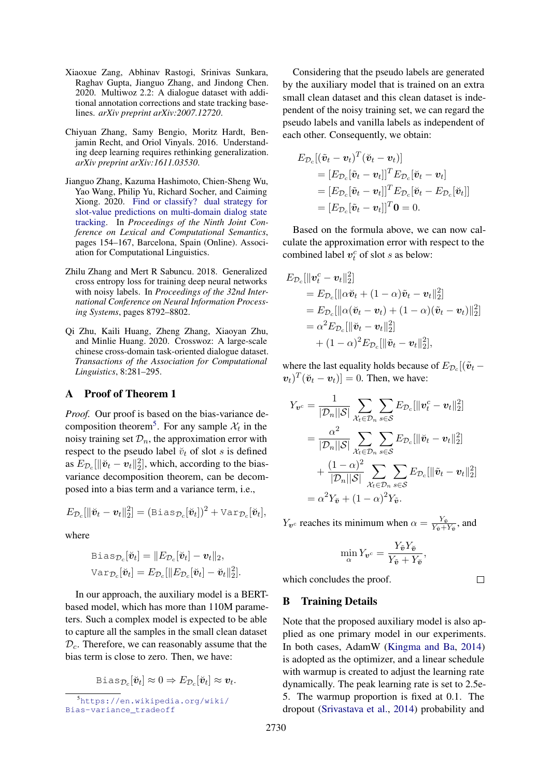- <span id="page-11-2"></span>Xiaoxue Zang, Abhinav Rastogi, Srinivas Sunkara, Raghav Gupta, Jianguo Zhang, and Jindong Chen. 2020. Multiwoz 2.2: A dialogue dataset with additional annotation corrections and state tracking baselines. *arXiv preprint arXiv:2007.12720*.
- <span id="page-11-1"></span>Chiyuan Zhang, Samy Bengio, Moritz Hardt, Benjamin Recht, and Oriol Vinyals. 2016. Understanding deep learning requires rethinking generalization. *arXiv preprint arXiv:1611.03530*.
- <span id="page-11-5"></span>Jianguo Zhang, Kazuma Hashimoto, Chien-Sheng Wu, Yao Wang, Philip Yu, Richard Socher, and Caiming Xiong. 2020. [Find or classify? dual strategy for](https://www.aclweb.org/anthology/2020.starsem-1.17) [slot-value predictions on multi-domain dialog state](https://www.aclweb.org/anthology/2020.starsem-1.17) [tracking.](https://www.aclweb.org/anthology/2020.starsem-1.17) In *Proceedings of the Ninth Joint Conference on Lexical and Computational Semantics*, pages 154–167, Barcelona, Spain (Online). Association for Computational Linguistics.
- <span id="page-11-6"></span>Zhilu Zhang and Mert R Sabuncu. 2018. Generalized cross entropy loss for training deep neural networks with noisy labels. In *Proceedings of the 32nd International Conference on Neural Information Processing Systems*, pages 8792–8802.
- <span id="page-11-0"></span>Qi Zhu, Kaili Huang, Zheng Zhang, Xiaoyan Zhu, and Minlie Huang. 2020. Crosswoz: A large-scale chinese cross-domain task-oriented dialogue dataset. *Transactions of the Association for Computational Linguistics*, 8:281–295.

# <span id="page-11-3"></span>A Proof of Theorem 1

*Proof.* Our proof is based on the bias-variance de-composition theorem<sup>[5](#page-11-7)</sup>. For any sample  $\mathcal{X}_t$  in the noisy training set  $\mathcal{D}_n$ , the approximation error with respect to the pseudo label  $\check{v}_t$  of slot s is defined as  $E_{\mathcal{D}_c}[\|\breve{\boldsymbol{v}}_t - \boldsymbol{v}_t\|_2^2]$ , which, according to the biasvariance decomposition theorem, can be decomposed into a bias term and a variance term, i.e.,

$$
E_{\mathcal{D}_c}[\|\breve{\boldsymbol{v}}_t - \boldsymbol{v}_t\|_2^2] = (\texttt{Bias}_{\mathcal{D}_c}[\breve{\boldsymbol{v}}_t])^2 + \texttt{Var}_{\mathcal{D}_c}[\breve{\boldsymbol{v}}_t],
$$

where

$$
\begin{aligned} &\texttt{Bias}_{\mathcal{D}_c}[\breve{\boldsymbol{v}}_t]=\|E_{\mathcal{D}_c}[\breve{\boldsymbol{v}}_t]-\boldsymbol{v}_t\|_2, \\ &\texttt{Var}_{\mathcal{D}_c}[\breve{\boldsymbol{v}}_t]=E_{\mathcal{D}_c}[\|E_{\mathcal{D}_c}[\breve{\boldsymbol{v}}_t]-\breve{\boldsymbol{v}}_t\|_2^2]. \end{aligned}
$$

In our approach, the auxiliary model is a BERTbased model, which has more than 110M parameters. Such a complex model is expected to be able to capture all the samples in the small clean dataset  $\mathcal{D}_c$ . Therefore, we can reasonably assume that the bias term is close to zero. Then, we have:

$$
\text{Bias}_{\mathcal{D}_c}[\breve{\boldsymbol{v}}_t] \approx 0 \Rightarrow E_{\mathcal{D}_c}[\breve{\boldsymbol{v}}_t] \approx \boldsymbol{v}_t.
$$

Considering that the pseudo labels are generated by the auxiliary model that is trained on an extra small clean dataset and this clean dataset is independent of the noisy training set, we can regard the pseudo labels and vanilla labels as independent of each other. Consequently, we obtain:

$$
E_{\mathcal{D}_c}[(\tilde{\boldsymbol{v}}_t - \boldsymbol{v}_t)^T (\breve{\boldsymbol{v}}_t - \boldsymbol{v}_t)]
$$
  
\n
$$
= [E_{\mathcal{D}_c}[\tilde{\boldsymbol{v}}_t - \boldsymbol{v}_t]]^T E_{\mathcal{D}_c}[\breve{\boldsymbol{v}}_t - \boldsymbol{v}_t]
$$
  
\n
$$
= [E_{\mathcal{D}_c}[\tilde{\boldsymbol{v}}_t - \boldsymbol{v}_t]]^T E_{\mathcal{D}_c}[\breve{\boldsymbol{v}}_t - E_{\mathcal{D}_c}[\breve{\boldsymbol{v}}_t]]
$$
  
\n
$$
= [E_{\mathcal{D}_c}[\tilde{\boldsymbol{v}}_t - \boldsymbol{v}_t]]^T \mathbf{0} = 0.
$$

Based on the formula above, we can now calculate the approximation error with respect to the combined label  $v_t^c$  of slot s as below:

$$
E_{\mathcal{D}_c}[\|\mathbf{v}_t^c - \mathbf{v}_t\|_2^2] = E_{\mathcal{D}_c}[\|\alpha \breve{\mathbf{v}}_t + (1 - \alpha)\tilde{\mathbf{v}}_t - \mathbf{v}_t\|_2^2] = E_{\mathcal{D}_c}[\|\alpha (\breve{\mathbf{v}}_t - \mathbf{v}_t) + (1 - \alpha)(\tilde{\mathbf{v}}_t - \mathbf{v}_t)\|_2^2] = \alpha^2 E_{\mathcal{D}_c}[\|\breve{\mathbf{v}}_t - \mathbf{v}_t\|_2^2] + (1 - \alpha)^2 E_{\mathcal{D}_c}[\|\tilde{\mathbf{v}}_t - \mathbf{v}_t\|_2^2],
$$

where the last equality holds because of  $E_{\mathcal{D}_c}$  [( $\tilde{\boldsymbol{v}}_t$  –  $(\boldsymbol{v}_t)^T(\boldsymbol{v}_t - \boldsymbol{v}_t)$  = 0. Then, we have:

$$
Y_{\boldsymbol{v}^c} = \frac{1}{|\mathcal{D}_n||\mathcal{S}|} \sum_{\mathcal{X}_t \in \mathcal{D}_n} \sum_{s \in \mathcal{S}} E_{\mathcal{D}_c}[\|\boldsymbol{v}_t^c - \boldsymbol{v}_t\|_2^2]
$$
  
= 
$$
\frac{\alpha^2}{|\mathcal{D}_n||\mathcal{S}|} \sum_{\mathcal{X}_t \in \mathcal{D}_n} \sum_{s \in \mathcal{S}} E_{\mathcal{D}_c}[\|\boldsymbol{v}_t - \boldsymbol{v}_t\|_2^2]
$$
  
+ 
$$
\frac{(1 - \alpha)^2}{|\mathcal{D}_n||\mathcal{S}|} \sum_{\mathcal{X}_t \in \mathcal{D}_n} \sum_{s \in \mathcal{S}} E_{\mathcal{D}_c}[\|\tilde{\boldsymbol{v}}_t - \boldsymbol{v}_t\|_2^2]
$$
  
= 
$$
\alpha^2 Y_{\tilde{\boldsymbol{v}}} + (1 - \alpha)^2 Y_{\tilde{\boldsymbol{v}}}.
$$

 $Y_{\mathbf{v}^c}$  reaches its minimum when  $\alpha = \frac{Y_{\mathbf{v}}}{Y_{\mathbf{v}}+1}$  $\frac{Y_{\tilde{\boldsymbol{v}}}}{Y_{\tilde{\boldsymbol{v}}}+Y_{\tilde{\boldsymbol{v}}}},$  and

$$
\min_{\alpha} Y_{\boldsymbol{v}^c} = \frac{Y_{\tilde{\boldsymbol{v}}} Y_{\tilde{\boldsymbol{v}}}}{Y_{\tilde{\boldsymbol{v}}} + Y_{\tilde{\boldsymbol{v}}}},
$$

 $\Box$ 

which concludes the proof.

# <span id="page-11-4"></span>B Training Details

Note that the proposed auxiliary model is also applied as one primary model in our experiments. In both cases, AdamW [\(Kingma and Ba,](#page-10-19) [2014\)](#page-10-19) is adopted as the optimizer, and a linear schedule with warmup is created to adjust the learning rate dynamically. The peak learning rate is set to 2.5e-5. The warmup proportion is fixed at 0.1. The dropout [\(Srivastava et al.,](#page-10-20) [2014\)](#page-10-20) probability and

<span id="page-11-7"></span><sup>5</sup>[https://en.wikipedia.org/wiki/](https://en.wikipedia.org/wiki/Bias-variance_tradeoff) [Bias-variance\\_tradeoff](https://en.wikipedia.org/wiki/Bias-variance_tradeoff)